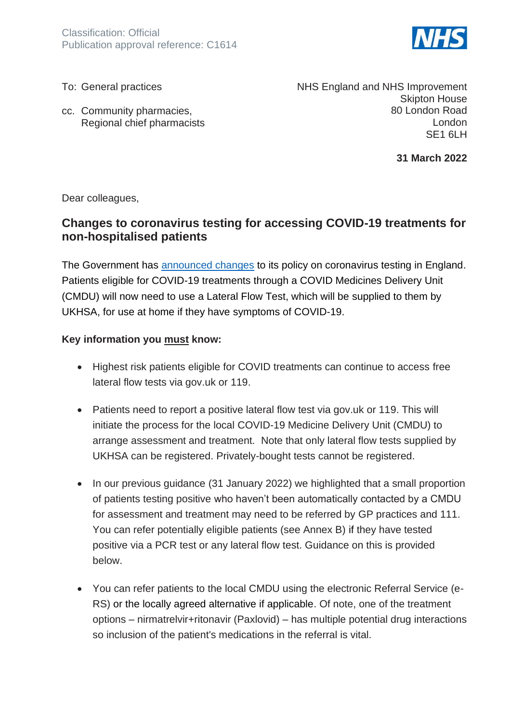

To: General practices

cc. Community pharmacies, Regional chief pharmacists NHS England and NHS Improvement Skipton House 80 London Road London SE1 6LH

**31 March 2022**

Dear colleagues,

# **Changes to coronavirus testing for accessing COVID-19 treatments for non-hospitalised patients**

The Government has [announced changes](https://www.gov.uk/government/news/changes-to-covid-19-testing-in-england-from-1-april) to its policy on coronavirus testing in England. Patients eligible for COVID-19 treatments through a COVID Medicines Delivery Unit (CMDU) will now need to use a Lateral Flow Test, which will be supplied to them by UKHSA, for use at home if they have symptoms of COVID-19.

#### **Key information you must know:**

- Highest risk patients eligible for COVID treatments can continue to access free lateral flow tests via gov.uk or 119.
- Patients need to report a positive lateral flow test via gov.uk or 119. This will initiate the process for the local COVID-19 Medicine Delivery Unit (CMDU) to arrange assessment and treatment. Note that only lateral flow tests supplied by UKHSA can be registered. Privately-bought tests cannot be registered.
- In our previous guidance (31 January 2022) we highlighted that a small proportion of patients testing positive who haven't been automatically contacted by a CMDU for assessment and treatment may need to be referred by GP practices and 111. You can refer potentially eligible patients (see Annex B) if they have tested positive via a PCR test or any lateral flow test. Guidance on this is provided below.
- You can refer patients to the local CMDU using the electronic Referral Service (e-RS) or the locally agreed alternative if applicable. Of note, one of the treatment options – nirmatrelvir+ritonavir (Paxlovid) – has multiple potential drug interactions so inclusion of the patient's medications in the referral is vital.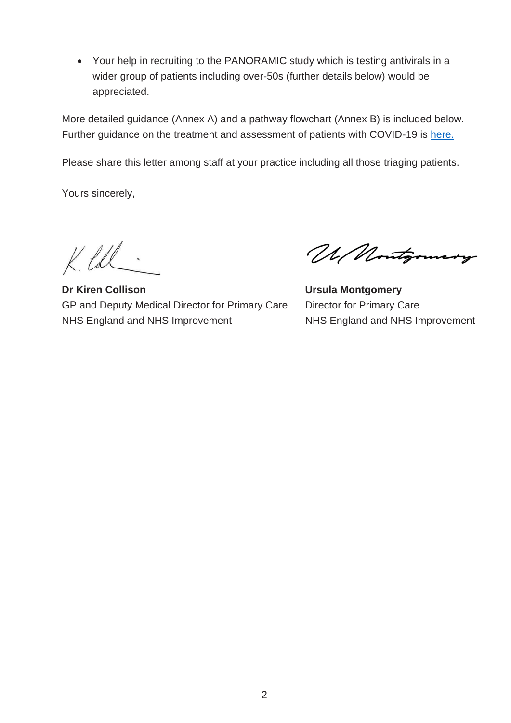• Your help in recruiting to the PANORAMIC study which is testing antivirals in a wider group of patients including over-50s (further details below) would be appreciated.

More detailed guidance (Annex A) and a pathway flowchart (Annex B) is included below. Further guidance on the treatment and assessment of patients with COVID-19 is [here.](https://www.england.nhs.uk/coronavirus/publication/assessment-monitoring-and-management-of-symptomatic-covid-19-patients-in-the-community/)

Please share this letter among staff at your practice including all those triaging patients.

Yours sincerely,

 $K. LCL$ 

**Dr Kiren Collison** GP and Deputy Medical Director for Primary Care NHS England and NHS Improvement

UM Nontgomery

**Ursula Montgomery**  Director for Primary Care NHS England and NHS Improvement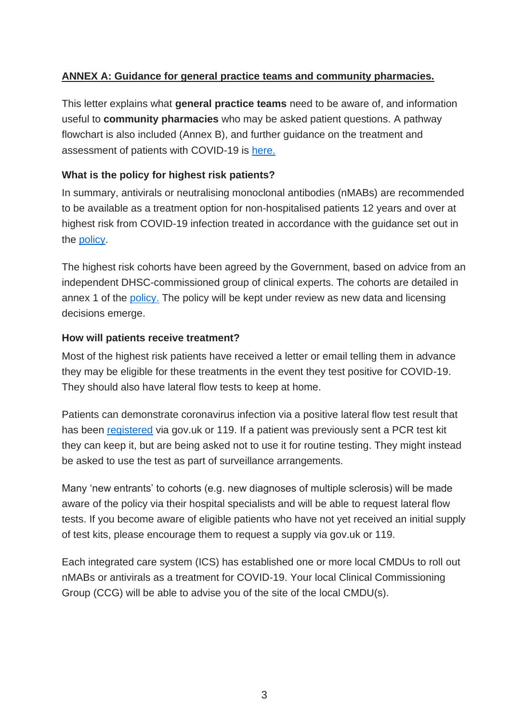## **ANNEX A: Guidance for general practice teams and community pharmacies.**

This letter explains what **general practice teams** need to be aware of, and information useful to **community pharmacies** who may be asked patient questions. A pathway flowchart is also included (Annex B), and further guidance on the treatment and assessment of patients with COVID-19 is [here.](https://www.england.nhs.uk/coronavirus/publication/assessment-monitoring-and-management-of-symptomatic-covid-19-patients-in-the-community/)

### **What is the policy for highest risk patients?**

In summary, antivirals or neutralising monoclonal antibodies (nMABs) are recommended to be available as a treatment option for non-hospitalised patients 12 years and over at highest risk from COVID-19 infection treated in accordance with the guidance set out in the [policy.](https://www.england.nhs.uk/coronavirus/publication/interim-clinical-commissioning-policy-neutralising-monoclonal-antibodies-or-antivirals-for-non-hospitalised-patients-with-covid-19/)

The highest risk cohorts have been agreed by the Government, based on advice from an independent DHSC-commissioned group of clinical experts. The cohorts are detailed in annex 1 of the [policy.](https://www.england.nhs.uk/coronavirus/publication/interim-clinical-commissioning-policy-neutralising-monoclonal-antibodies-or-antivirals-for-non-hospitalised-patients-with-covid-19/) The policy will be kept under review as new data and licensing decisions emerge.

#### **How will patients receive treatment?**

Most of the highest risk patients have received a letter or email telling them in advance they may be eligible for these treatments in the event they test positive for COVID-19. They should also have lateral flow tests to keep at home.

Patients can demonstrate coronavirus infection via a positive lateral flow test result that has been [registered](https://www.gov.uk/report-covid19-result) via gov.uk or 119. If a patient was previously sent a PCR test kit they can keep it, but are being asked not to use it for routine testing. They might instead be asked to use the test as part of surveillance arrangements.

Many 'new entrants' to cohorts (e.g. new diagnoses of multiple sclerosis) will be made aware of the policy via their hospital specialists and will be able to request lateral flow tests. If you become aware of eligible patients who have not yet received an initial supply of test kits, please encourage them to request a supply via gov.uk or 119.

Each integrated care system (ICS) has established one or more local CMDUs to roll out nMABs or antivirals as a treatment for COVID-19. Your local Clinical Commissioning Group (CCG) will be able to advise you of the site of the local CMDU(s).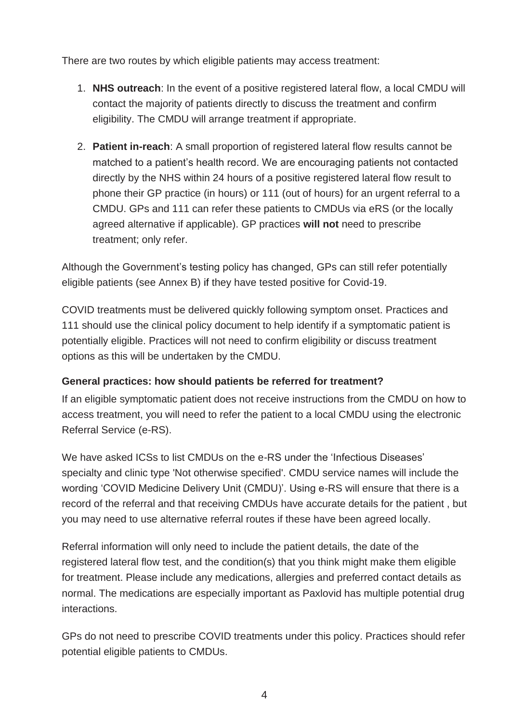There are two routes by which eligible patients may access treatment:

- 1. **NHS outreach**: In the event of a positive registered lateral flow, a local CMDU will contact the majority of patients directly to discuss the treatment and confirm eligibility. The CMDU will arrange treatment if appropriate.
- 2. **Patient in-reach**: A small proportion of registered lateral flow results cannot be matched to a patient's health record. We are encouraging patients not contacted directly by the NHS within 24 hours of a positive registered lateral flow result to phone their GP practice (in hours) or 111 (out of hours) for an urgent referral to a CMDU. GPs and 111 can refer these patients to CMDUs via eRS (or the locally agreed alternative if applicable). GP practices **will not** need to prescribe treatment; only refer.

Although the Government's testing policy has changed, GPs can still refer potentially eligible patients (see Annex B) if they have tested positive for Covid-19.

COVID treatments must be delivered quickly following symptom onset. Practices and 111 should use the clinical policy document to help identify if a symptomatic patient is potentially eligible. Practices will not need to confirm eligibility or discuss treatment options as this will be undertaken by the CMDU.

# **General practices: how should patients be referred for treatment?**

If an eligible symptomatic patient does not receive instructions from the CMDU on how to access treatment, you will need to refer the patient to a local CMDU using the electronic Referral Service (e-RS).

We have asked ICSs to list CMDUs on the e-RS under the 'Infectious Diseases' specialty and clinic type 'Not otherwise specified'. CMDU service names will include the wording 'COVID Medicine Delivery Unit (CMDU)'. Using e-RS will ensure that there is a record of the referral and that receiving CMDUs have accurate details for the patient , but you may need to use alternative referral routes if these have been agreed locally.

Referral information will only need to include the patient details, the date of the registered lateral flow test, and the condition(s) that you think might make them eligible for treatment. Please include any medications, allergies and preferred contact details as normal. The medications are especially important as Paxlovid has multiple potential drug interactions.

GPs do not need to prescribe COVID treatments under this policy. Practices should refer potential eligible patients to CMDUs.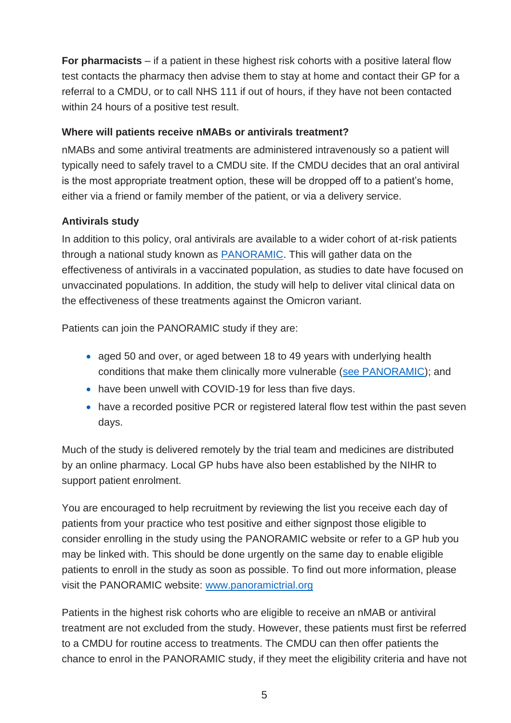**For pharmacists** – if a patient in these highest risk cohorts with a positive lateral flow test contacts the pharmacy then advise them to stay at home and contact their GP for a referral to a CMDU, or to call NHS 111 if out of hours, if they have not been contacted within 24 hours of a positive test result.

### **Where will patients receive nMABs or antivirals treatment?**

nMABs and some antiviral treatments are administered intravenously so a patient will typically need to safely travel to a CMDU site. If the CMDU decides that an oral antiviral is the most appropriate treatment option, these will be dropped off to a patient's home, either via a friend or family member of the patient, or via a delivery service.

# **Antivirals study**

In addition to this policy, oral antivirals are available to a wider cohort of at-risk patients through a national study known as [PANORAMIC.](http://www.panoramictrial.org/) This will gather data on the effectiveness of antivirals in a vaccinated population, as studies to date have focused on unvaccinated populations. In addition, the study will help to deliver vital clinical data on the effectiveness of these treatments against the Omicron variant.

Patients can join the PANORAMIC study if they are:

- aged 50 and over, or aged between 18 to 49 years with underlying health conditions that make them clinically more vulnerable [\(see PANORAMIC\)](http://www.panoramictrial.org/); and
- have been unwell with COVID-19 for less than five days.
- have a recorded positive PCR or registered lateral flow test within the past seven days.

Much of the study is delivered remotely by the trial team and medicines are distributed by an online pharmacy. Local GP hubs have also been established by the NIHR to support patient enrolment.

You are encouraged to help recruitment by reviewing the list you receive each day of patients from your practice who test positive and either signpost those eligible to consider enrolling in the study using the PANORAMIC website or refer to a GP hub you may be linked with. This should be done urgently on the same day to enable eligible patients to enroll in the study as soon as possible. To find out more information, please visit the PANORAMIC website: [www.panoramictrial.org](http://www.panoramictrial.org/)

Patients in the highest risk cohorts who are eligible to receive an nMAB or antiviral treatment are not excluded from the study. However, these patients must first be referred to a CMDU for routine access to treatments. The CMDU can then offer patients the chance to enrol in the PANORAMIC study, if they meet the eligibility criteria and have not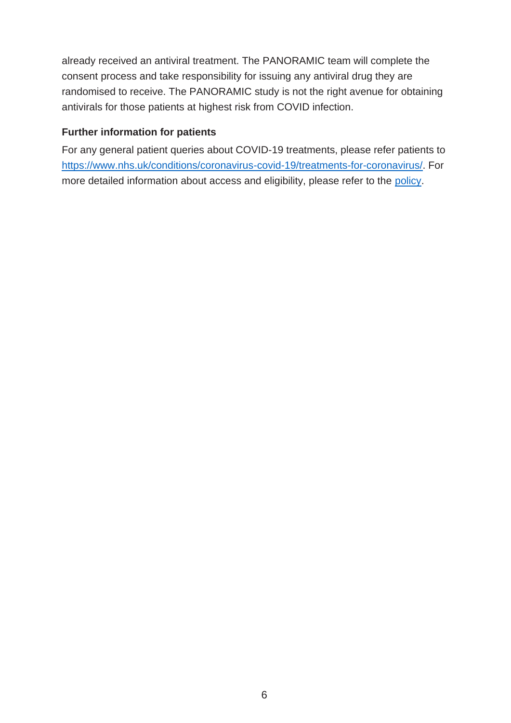already received an antiviral treatment. The PANORAMIC team will complete the consent process and take responsibility for issuing any antiviral drug they are randomised to receive. The PANORAMIC study is not the right avenue for obtaining antivirals for those patients at highest risk from COVID infection.

#### **Further information for patients**

For any general patient queries about COVID-19 treatments, please refer patients to [https://www.nhs.uk/conditions/coronavirus-covid-19/treatments-for-coronavirus/.](https://www.nhs.uk/conditions/coronavirus-covid-19/treatments-for-coronavirus/) For more detailed information about access and eligibility, please refer to the [policy.](https://www.england.nhs.uk/coronavirus/publication/interim-clinical-commissioning-policy-neutralising-monoclonal-antibodies-or-antivirals-for-non-hospitalised-patients-with-covid-19/)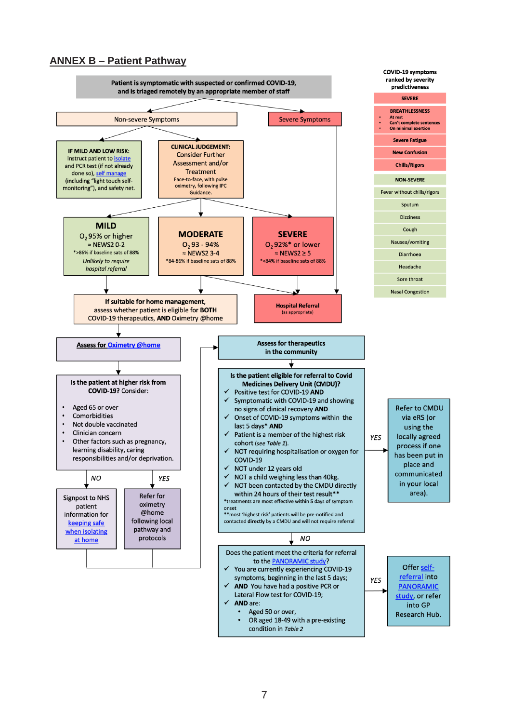#### **ANNEX B – Patient Pathway**

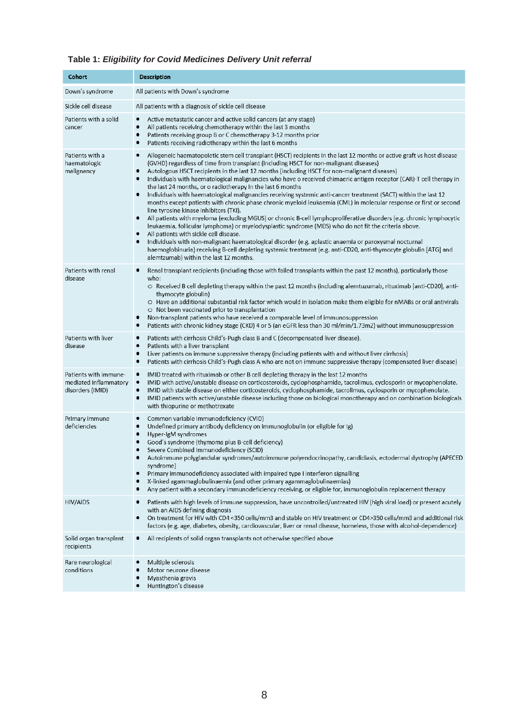### **Table 1:** *Eligibility for Covid Medicines Delivery Unit referral*

| Cohort                                                             | <b>Description</b>                                                                                                                                                                                                                                                                                                                                                                                                                                                                                                                                                                                                                                                                                                                                                                                                                                                                                                                                                                                                                                                                                                                                                                                                                                                                                                                                       |
|--------------------------------------------------------------------|----------------------------------------------------------------------------------------------------------------------------------------------------------------------------------------------------------------------------------------------------------------------------------------------------------------------------------------------------------------------------------------------------------------------------------------------------------------------------------------------------------------------------------------------------------------------------------------------------------------------------------------------------------------------------------------------------------------------------------------------------------------------------------------------------------------------------------------------------------------------------------------------------------------------------------------------------------------------------------------------------------------------------------------------------------------------------------------------------------------------------------------------------------------------------------------------------------------------------------------------------------------------------------------------------------------------------------------------------------|
| Down's syndrome                                                    | All patients with Down's syndrome                                                                                                                                                                                                                                                                                                                                                                                                                                                                                                                                                                                                                                                                                                                                                                                                                                                                                                                                                                                                                                                                                                                                                                                                                                                                                                                        |
| Sickle cell disease                                                | All patients with a diagnosis of sickle cell disease                                                                                                                                                                                                                                                                                                                                                                                                                                                                                                                                                                                                                                                                                                                                                                                                                                                                                                                                                                                                                                                                                                                                                                                                                                                                                                     |
| Patients with a solid<br>cancer                                    | Active metastatic cancer and active solid cancers (at any stage)<br>٠<br>$\bullet$<br>All patients receiving chemotherapy within the last 3 months<br>Patients receiving group B or C chemotherapy 3-12 months prior<br>٠<br>Patients receiving radiotherapy within the last 6 months<br>٠                                                                                                                                                                                                                                                                                                                                                                                                                                                                                                                                                                                                                                                                                                                                                                                                                                                                                                                                                                                                                                                               |
| Patients with a<br>haematologic<br>malignancy                      | Allogeneic haematopoietic stem cell transplant (HSCT) recipients in the last 12 months or active graft vs host disease<br>٠<br>(GVHD) regardless of time from transplant (including HSCT for non-malignant diseases)<br>Autologous HSCT recipients in the last 12 months (including HSCT for non-malignant diseases)<br>Individuals with haematological malignancies who have o received chimaeric antigen receptor (CAR)-T cell therapy in<br>٠<br>the last 24 months, or o radiotherapy in the last 6 months<br>Individuals with haematological malignancies receiving systemic anti-cancer treatment (SACT) within the last 12<br>months except patients with chronic phase chronic myeloid leukaemia (CML) in molecular response or first or second<br>line tyrosine kinase inhibitors (TKI).<br>All patients with myeloma (excluding MGUS) or chronic B-cell lymphoproliferative disorders (e.g. chronic lymphocytic<br>٠<br>leukaemia, follicular lymphoma) or myelodysplastic syndrome (MDS) who do not fit the criteria above.<br>All patients with sickle cell disease.<br>Individuals with non-malignant haematological disorder (e.g. aplastic anaemia or paroxysmal nocturnal<br>haemoglobinuria) receiving B-cell depleting systemic treatment (e.g. anti-CD20, anti-thymocyte globulin [ATG] and<br>alemtzumab) within the last 12 months. |
| Patients with renal<br>disease                                     | Renal transplant recipients (including those with failed transplants within the past 12 months), particularly those<br>who:<br>$\circ$ Received B cell depleting therapy within the past 12 months (including alemtuzumab, rituximab [anti-CD20], anti-<br>thymocyte globulin)<br>○ Have an additional substantial risk factor which would in isolation make them eligible for nMABs or oral antivirals<br>O Not been vaccinated prior to transplantation<br>Non-transplant patients who have received a comparable level of immunosuppression<br>٠<br>Patients with chronic kidney stage (CKD) 4 or 5 (an eGFR less than 30 ml/min/1.73m2) without immunosuppression<br>٠                                                                                                                                                                                                                                                                                                                                                                                                                                                                                                                                                                                                                                                                               |
| Patients with liver<br>disease                                     | Patients with cirrhosis Child's-Pugh class B and C (decompensated liver disease).<br>٠<br>Patients with a liver transplant<br>٠<br>Liver patients on immune suppressive therapy (including patients with and without liver cirrhosis)<br>٠<br>Patients with cirrhosis Child's-Pugh class A who are not on immune suppressive therapy (compensated liver disease)<br>٠                                                                                                                                                                                                                                                                                                                                                                                                                                                                                                                                                                                                                                                                                                                                                                                                                                                                                                                                                                                    |
| Patients with immune-<br>mediated inflammatory<br>disorders (IMID) | IMID treated with rituximab or other B cell depleting therapy in the last 12 months<br>٠<br>IMID with active/unstable disease on corticosteroids, cyclophosphamide, tacrolimus, cyclosporin or mycophenolate.<br>٠<br>٠<br>IMID with stable disease on either corticosteroids, cyclophosphamide, tacrolimus, cyclosporin or mycophenolate.<br>IMID patients with active/unstable disease including those on biological monotherapy and on combination biologicals<br>٠<br>with thiopurine or methotrexate                                                                                                                                                                                                                                                                                                                                                                                                                                                                                                                                                                                                                                                                                                                                                                                                                                                |
| Primary immune<br>deficiencies                                     | Common variable immunodeficiency (CVID)<br>٠<br>٠<br>Undefined primary antibody deficiency on immunoglobulin (or eligible for Ig)<br>Hyper-IgM syndromes<br>Good's syndrome (thymoma plus B-cell deficiency)<br>$\bullet$<br>Severe Combined Immunodeficiency (SCID)<br>Autoimmune polyglandular syndromes/autoimmune polyendocrinopathy, candidiasis, ectodermal dystrophy (APECED<br>syndrome)<br>Primary immunodeficiency associated with impaired type I interferon signalling<br>X-linked agammaglobulinaemia (and other primary agammaglobulinaemias)<br>Any patient with a secondary immunodeficiency receiving, or eligible for, immunoglobulin replacement therapy                                                                                                                                                                                                                                                                                                                                                                                                                                                                                                                                                                                                                                                                              |
| <b>HIV/AIDS</b>                                                    | Patients with high levels of immune suppression, have uncontrolled/untreated HIV (high viral load) or present acutely<br>with an AIDS defining diagnosis<br>On treatment for HIV with CD4 <350 cells/mm3 and stable on HIV treatment or CD4>350 cells/mm3 and additional risk<br>٠<br>factors (e.g. age, diabetes, obesity, cardiovascular, liver or renal disease, homeless, those with alcohol-dependence)                                                                                                                                                                                                                                                                                                                                                                                                                                                                                                                                                                                                                                                                                                                                                                                                                                                                                                                                             |
| Solid organ transplant<br>recipients                               | All recipients of solid organ transplants not otherwise specified above                                                                                                                                                                                                                                                                                                                                                                                                                                                                                                                                                                                                                                                                                                                                                                                                                                                                                                                                                                                                                                                                                                                                                                                                                                                                                  |
| Rare neurological<br>conditions                                    | Multiple sclerosis<br>٠<br>Motor neurone disease<br>Myasthenia gravis<br>Huntington's disease<br>٠                                                                                                                                                                                                                                                                                                                                                                                                                                                                                                                                                                                                                                                                                                                                                                                                                                                                                                                                                                                                                                                                                                                                                                                                                                                       |